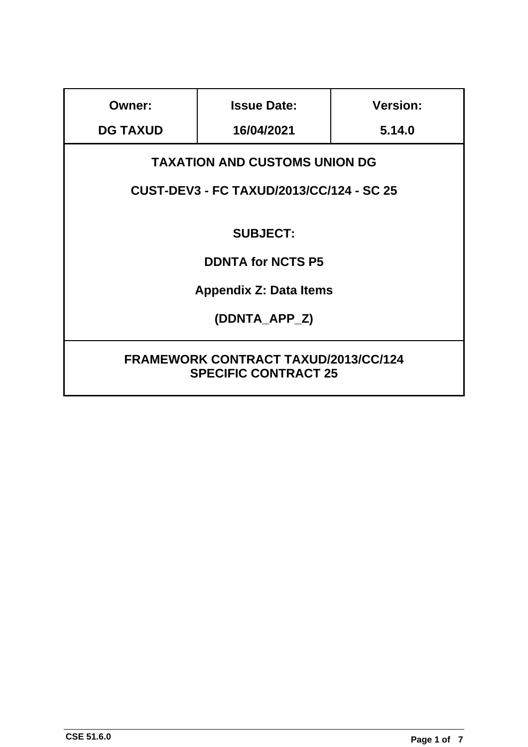| <b>Owner:</b>                                                              | <b>Issue Date:</b> | <b>Version:</b> |
|----------------------------------------------------------------------------|--------------------|-----------------|
| <b>DG TAXUD</b>                                                            | 16/04/2021         | 5.14.0          |
| <b>TAXATION AND CUSTOMS UNION DG</b>                                       |                    |                 |
| <b>CUST-DEV3 - FC TAXUD/2013/CC/124 - SC 25</b>                            |                    |                 |
|                                                                            |                    |                 |
| <b>SUBJECT:</b>                                                            |                    |                 |
| <b>DDNTA for NCTS P5</b>                                                   |                    |                 |
| <b>Appendix Z: Data Items</b>                                              |                    |                 |
| (DDNTA APP Z)                                                              |                    |                 |
|                                                                            |                    |                 |
| <b>FRAMEWORK CONTRACT TAXUD/2013/CC/124</b><br><b>SPECIFIC CONTRACT 25</b> |                    |                 |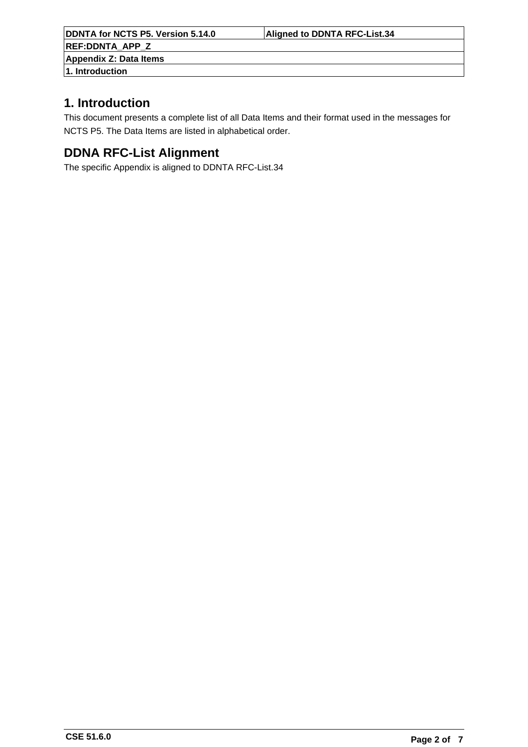**DDNTA for NCTS P5. Version 5.14.0 Aligned to DDNTA RFC-List.34 REF:DDNTA\_APP\_Z Appendix Z: Data Items**

**1. Introduction**

## **1. Introduction**

This document presents a complete list of all Data Items and their format used in the messages for NCTS P5. The Data Items are listed in alphabetical order.

## **DDNA RFC-List Alignment**

The specific Appendix is aligned to DDNTA RFC-List.34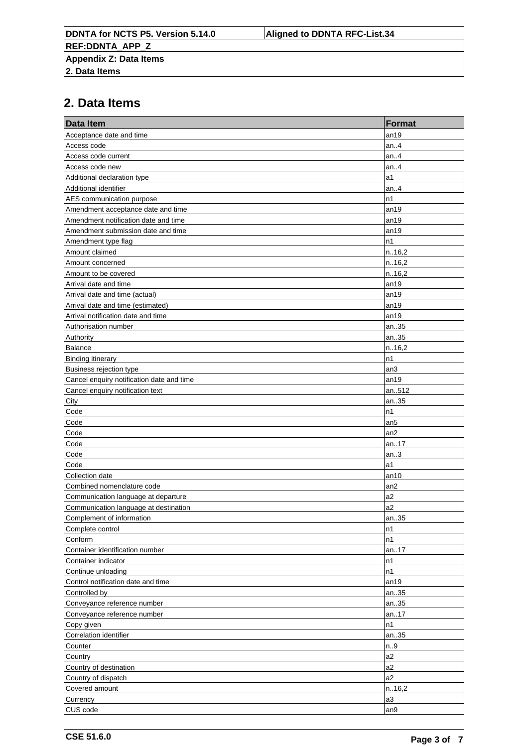| <b>Data Item</b>                          | Format          |
|-------------------------------------------|-----------------|
| Acceptance date and time                  | an19            |
| Access code                               | an.4            |
| Access code current                       | an.4            |
| Access code new                           | an. $4$         |
| Additional declaration type               | a1              |
| Additional identifier                     | an.4            |
| AES communication purpose                 | n1              |
| Amendment acceptance date and time        | an19            |
| Amendment notification date and time      | an19            |
| Amendment submission date and time        | an19            |
| Amendment type flag                       | n1              |
| Amount claimed                            | n.16,2          |
| Amount concerned                          | n.16,2          |
| Amount to be covered                      | n.16,2          |
| Arrival date and time                     | an19            |
| Arrival date and time (actual)            | an19            |
| Arrival date and time (estimated)         | an19            |
| Arrival notification date and time        | an19            |
| Authorisation number                      | an35            |
| Authority                                 | an35            |
| Balance                                   | n.16,2          |
| <b>Binding itinerary</b>                  | n1              |
| Business rejection type                   | an3             |
| Cancel enquiry notification date and time | an19            |
| Cancel enquiry notification text          | an512           |
| City                                      | an35            |
| Code                                      | n1              |
| Code                                      | an <sub>5</sub> |
| Code                                      | an2             |
| Code                                      | an17            |
| Code                                      | an.3            |
| Code                                      | a1              |
| Collection date                           | an10            |
| Combined nomenclature code                | an <sub>2</sub> |
| Communication language at departure       | a2              |
| Communication language at destination     | a2              |
| Complement of information                 | an35            |
| Complete control                          | n1              |
| Conform                                   | n1              |
| Container identification number           | an17            |
| Container indicator                       | n1              |
| Continue unloading                        | n1              |
| Control notification date and time        | an19            |
| Controlled by                             | an35            |
| Conveyance reference number               | an35            |
| Conveyance reference number               | an.17           |
| Copy given                                | n1              |
| Correlation identifier                    | an35            |
| Counter                                   | n.9             |
| Country                                   | a2              |
| Country of destination                    | a2              |
| Country of dispatch                       | a2              |
| Covered amount                            | n.16,2          |
| Currency                                  | a3              |
| CUS code                                  | an9             |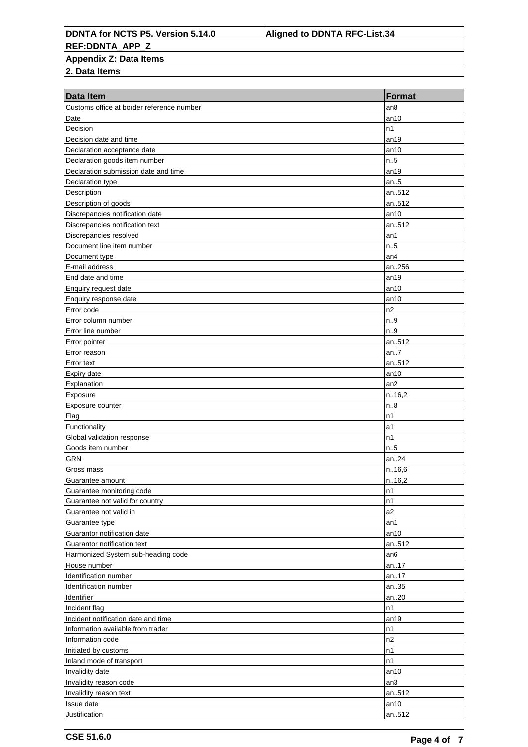**DDNTA for NCTS P5. Version 5.14.0 Aligned to DDNTA RFC-List.34 REF:DDNTA\_APP\_Z**

## **Appendix Z: Data Items**

| Customs office at border reference number<br>an8<br>Date<br>an10<br>Decision<br>n1<br>Decision date and time<br>an19<br>Declaration acceptance date<br>an10<br>n.5<br>Declaration goods item number<br>Declaration submission date and time<br>an19<br>an.5<br>Declaration type<br>Description<br>an512<br>Description of goods<br>an512<br>Discrepancies notification date<br>an10<br>Discrepancies notification text<br>an512<br>Discrepancies resolved<br>an1<br>n.5<br>Document line item number<br>an4<br>Document type<br>an256<br>E-mail address<br>End date and time<br>an19<br>Enquiry request date<br>an10<br>Enquiry response date<br>an10<br>n2<br>Error code<br>n.9<br>Error column number<br>Error line number<br>n.9<br>an512<br>Error pointer<br>an.7<br>Error reason<br>an512<br>Error text<br>Expiry date<br>an10<br>Explanation<br>an2<br>n.16,2<br>Exposure<br>Exposure counter<br>n.8<br>Flag<br>n1<br>Functionality<br>a1<br>n1<br>Global validation response<br>n.5<br>Goods item number<br><b>GRN</b><br>an24<br>n.16,6<br>Gross mass<br>n.16,2<br>Guarantee amount<br>Guarantee monitoring code<br>n1<br>n1<br>Guarantee not valid for country<br>a2<br>Guarantee not valid in<br>Guarantee type<br>an1<br>Guarantor notification date<br>an10<br>Guarantor notification text<br>an512<br>Harmonized System sub-heading code<br>an6<br>House number<br>an17<br>Identification number<br>an17<br>Identification number<br>an35<br>Identifier<br>an20<br>n1<br>Incident flag<br>Incident notification date and time<br>an19<br>Information available from trader<br>n1<br>n2<br>Information code<br>Initiated by customs<br>n1<br>n1<br>Inland mode of transport<br>Invalidity date<br>an10<br>Invalidity reason code<br>an3<br>Invalidity reason text<br>an512<br>Issue date<br>an10 | <b>Data Item</b> | <b>Format</b> |
|--------------------------------------------------------------------------------------------------------------------------------------------------------------------------------------------------------------------------------------------------------------------------------------------------------------------------------------------------------------------------------------------------------------------------------------------------------------------------------------------------------------------------------------------------------------------------------------------------------------------------------------------------------------------------------------------------------------------------------------------------------------------------------------------------------------------------------------------------------------------------------------------------------------------------------------------------------------------------------------------------------------------------------------------------------------------------------------------------------------------------------------------------------------------------------------------------------------------------------------------------------------------------------------------------------------------------------------------------------------------------------------------------------------------------------------------------------------------------------------------------------------------------------------------------------------------------------------------------------------------------------------------------------------------------------------------------------------------------------------------------------------------------------------------------------------|------------------|---------------|
|                                                                                                                                                                                                                                                                                                                                                                                                                                                                                                                                                                                                                                                                                                                                                                                                                                                                                                                                                                                                                                                                                                                                                                                                                                                                                                                                                                                                                                                                                                                                                                                                                                                                                                                                                                                                              |                  |               |
|                                                                                                                                                                                                                                                                                                                                                                                                                                                                                                                                                                                                                                                                                                                                                                                                                                                                                                                                                                                                                                                                                                                                                                                                                                                                                                                                                                                                                                                                                                                                                                                                                                                                                                                                                                                                              |                  |               |
|                                                                                                                                                                                                                                                                                                                                                                                                                                                                                                                                                                                                                                                                                                                                                                                                                                                                                                                                                                                                                                                                                                                                                                                                                                                                                                                                                                                                                                                                                                                                                                                                                                                                                                                                                                                                              |                  |               |
|                                                                                                                                                                                                                                                                                                                                                                                                                                                                                                                                                                                                                                                                                                                                                                                                                                                                                                                                                                                                                                                                                                                                                                                                                                                                                                                                                                                                                                                                                                                                                                                                                                                                                                                                                                                                              |                  |               |
|                                                                                                                                                                                                                                                                                                                                                                                                                                                                                                                                                                                                                                                                                                                                                                                                                                                                                                                                                                                                                                                                                                                                                                                                                                                                                                                                                                                                                                                                                                                                                                                                                                                                                                                                                                                                              |                  |               |
|                                                                                                                                                                                                                                                                                                                                                                                                                                                                                                                                                                                                                                                                                                                                                                                                                                                                                                                                                                                                                                                                                                                                                                                                                                                                                                                                                                                                                                                                                                                                                                                                                                                                                                                                                                                                              |                  |               |
|                                                                                                                                                                                                                                                                                                                                                                                                                                                                                                                                                                                                                                                                                                                                                                                                                                                                                                                                                                                                                                                                                                                                                                                                                                                                                                                                                                                                                                                                                                                                                                                                                                                                                                                                                                                                              |                  |               |
|                                                                                                                                                                                                                                                                                                                                                                                                                                                                                                                                                                                                                                                                                                                                                                                                                                                                                                                                                                                                                                                                                                                                                                                                                                                                                                                                                                                                                                                                                                                                                                                                                                                                                                                                                                                                              |                  |               |
|                                                                                                                                                                                                                                                                                                                                                                                                                                                                                                                                                                                                                                                                                                                                                                                                                                                                                                                                                                                                                                                                                                                                                                                                                                                                                                                                                                                                                                                                                                                                                                                                                                                                                                                                                                                                              |                  |               |
|                                                                                                                                                                                                                                                                                                                                                                                                                                                                                                                                                                                                                                                                                                                                                                                                                                                                                                                                                                                                                                                                                                                                                                                                                                                                                                                                                                                                                                                                                                                                                                                                                                                                                                                                                                                                              |                  |               |
|                                                                                                                                                                                                                                                                                                                                                                                                                                                                                                                                                                                                                                                                                                                                                                                                                                                                                                                                                                                                                                                                                                                                                                                                                                                                                                                                                                                                                                                                                                                                                                                                                                                                                                                                                                                                              |                  |               |
|                                                                                                                                                                                                                                                                                                                                                                                                                                                                                                                                                                                                                                                                                                                                                                                                                                                                                                                                                                                                                                                                                                                                                                                                                                                                                                                                                                                                                                                                                                                                                                                                                                                                                                                                                                                                              |                  |               |
|                                                                                                                                                                                                                                                                                                                                                                                                                                                                                                                                                                                                                                                                                                                                                                                                                                                                                                                                                                                                                                                                                                                                                                                                                                                                                                                                                                                                                                                                                                                                                                                                                                                                                                                                                                                                              |                  |               |
|                                                                                                                                                                                                                                                                                                                                                                                                                                                                                                                                                                                                                                                                                                                                                                                                                                                                                                                                                                                                                                                                                                                                                                                                                                                                                                                                                                                                                                                                                                                                                                                                                                                                                                                                                                                                              |                  |               |
|                                                                                                                                                                                                                                                                                                                                                                                                                                                                                                                                                                                                                                                                                                                                                                                                                                                                                                                                                                                                                                                                                                                                                                                                                                                                                                                                                                                                                                                                                                                                                                                                                                                                                                                                                                                                              |                  |               |
|                                                                                                                                                                                                                                                                                                                                                                                                                                                                                                                                                                                                                                                                                                                                                                                                                                                                                                                                                                                                                                                                                                                                                                                                                                                                                                                                                                                                                                                                                                                                                                                                                                                                                                                                                                                                              |                  |               |
|                                                                                                                                                                                                                                                                                                                                                                                                                                                                                                                                                                                                                                                                                                                                                                                                                                                                                                                                                                                                                                                                                                                                                                                                                                                                                                                                                                                                                                                                                                                                                                                                                                                                                                                                                                                                              |                  |               |
|                                                                                                                                                                                                                                                                                                                                                                                                                                                                                                                                                                                                                                                                                                                                                                                                                                                                                                                                                                                                                                                                                                                                                                                                                                                                                                                                                                                                                                                                                                                                                                                                                                                                                                                                                                                                              |                  |               |
|                                                                                                                                                                                                                                                                                                                                                                                                                                                                                                                                                                                                                                                                                                                                                                                                                                                                                                                                                                                                                                                                                                                                                                                                                                                                                                                                                                                                                                                                                                                                                                                                                                                                                                                                                                                                              |                  |               |
|                                                                                                                                                                                                                                                                                                                                                                                                                                                                                                                                                                                                                                                                                                                                                                                                                                                                                                                                                                                                                                                                                                                                                                                                                                                                                                                                                                                                                                                                                                                                                                                                                                                                                                                                                                                                              |                  |               |
|                                                                                                                                                                                                                                                                                                                                                                                                                                                                                                                                                                                                                                                                                                                                                                                                                                                                                                                                                                                                                                                                                                                                                                                                                                                                                                                                                                                                                                                                                                                                                                                                                                                                                                                                                                                                              |                  |               |
|                                                                                                                                                                                                                                                                                                                                                                                                                                                                                                                                                                                                                                                                                                                                                                                                                                                                                                                                                                                                                                                                                                                                                                                                                                                                                                                                                                                                                                                                                                                                                                                                                                                                                                                                                                                                              |                  |               |
|                                                                                                                                                                                                                                                                                                                                                                                                                                                                                                                                                                                                                                                                                                                                                                                                                                                                                                                                                                                                                                                                                                                                                                                                                                                                                                                                                                                                                                                                                                                                                                                                                                                                                                                                                                                                              |                  |               |
|                                                                                                                                                                                                                                                                                                                                                                                                                                                                                                                                                                                                                                                                                                                                                                                                                                                                                                                                                                                                                                                                                                                                                                                                                                                                                                                                                                                                                                                                                                                                                                                                                                                                                                                                                                                                              |                  |               |
|                                                                                                                                                                                                                                                                                                                                                                                                                                                                                                                                                                                                                                                                                                                                                                                                                                                                                                                                                                                                                                                                                                                                                                                                                                                                                                                                                                                                                                                                                                                                                                                                                                                                                                                                                                                                              |                  |               |
|                                                                                                                                                                                                                                                                                                                                                                                                                                                                                                                                                                                                                                                                                                                                                                                                                                                                                                                                                                                                                                                                                                                                                                                                                                                                                                                                                                                                                                                                                                                                                                                                                                                                                                                                                                                                              |                  |               |
|                                                                                                                                                                                                                                                                                                                                                                                                                                                                                                                                                                                                                                                                                                                                                                                                                                                                                                                                                                                                                                                                                                                                                                                                                                                                                                                                                                                                                                                                                                                                                                                                                                                                                                                                                                                                              |                  |               |
|                                                                                                                                                                                                                                                                                                                                                                                                                                                                                                                                                                                                                                                                                                                                                                                                                                                                                                                                                                                                                                                                                                                                                                                                                                                                                                                                                                                                                                                                                                                                                                                                                                                                                                                                                                                                              |                  |               |
|                                                                                                                                                                                                                                                                                                                                                                                                                                                                                                                                                                                                                                                                                                                                                                                                                                                                                                                                                                                                                                                                                                                                                                                                                                                                                                                                                                                                                                                                                                                                                                                                                                                                                                                                                                                                              |                  |               |
|                                                                                                                                                                                                                                                                                                                                                                                                                                                                                                                                                                                                                                                                                                                                                                                                                                                                                                                                                                                                                                                                                                                                                                                                                                                                                                                                                                                                                                                                                                                                                                                                                                                                                                                                                                                                              |                  |               |
|                                                                                                                                                                                                                                                                                                                                                                                                                                                                                                                                                                                                                                                                                                                                                                                                                                                                                                                                                                                                                                                                                                                                                                                                                                                                                                                                                                                                                                                                                                                                                                                                                                                                                                                                                                                                              |                  |               |
|                                                                                                                                                                                                                                                                                                                                                                                                                                                                                                                                                                                                                                                                                                                                                                                                                                                                                                                                                                                                                                                                                                                                                                                                                                                                                                                                                                                                                                                                                                                                                                                                                                                                                                                                                                                                              |                  |               |
|                                                                                                                                                                                                                                                                                                                                                                                                                                                                                                                                                                                                                                                                                                                                                                                                                                                                                                                                                                                                                                                                                                                                                                                                                                                                                                                                                                                                                                                                                                                                                                                                                                                                                                                                                                                                              |                  |               |
|                                                                                                                                                                                                                                                                                                                                                                                                                                                                                                                                                                                                                                                                                                                                                                                                                                                                                                                                                                                                                                                                                                                                                                                                                                                                                                                                                                                                                                                                                                                                                                                                                                                                                                                                                                                                              |                  |               |
|                                                                                                                                                                                                                                                                                                                                                                                                                                                                                                                                                                                                                                                                                                                                                                                                                                                                                                                                                                                                                                                                                                                                                                                                                                                                                                                                                                                                                                                                                                                                                                                                                                                                                                                                                                                                              |                  |               |
|                                                                                                                                                                                                                                                                                                                                                                                                                                                                                                                                                                                                                                                                                                                                                                                                                                                                                                                                                                                                                                                                                                                                                                                                                                                                                                                                                                                                                                                                                                                                                                                                                                                                                                                                                                                                              |                  |               |
|                                                                                                                                                                                                                                                                                                                                                                                                                                                                                                                                                                                                                                                                                                                                                                                                                                                                                                                                                                                                                                                                                                                                                                                                                                                                                                                                                                                                                                                                                                                                                                                                                                                                                                                                                                                                              |                  |               |
|                                                                                                                                                                                                                                                                                                                                                                                                                                                                                                                                                                                                                                                                                                                                                                                                                                                                                                                                                                                                                                                                                                                                                                                                                                                                                                                                                                                                                                                                                                                                                                                                                                                                                                                                                                                                              |                  |               |
|                                                                                                                                                                                                                                                                                                                                                                                                                                                                                                                                                                                                                                                                                                                                                                                                                                                                                                                                                                                                                                                                                                                                                                                                                                                                                                                                                                                                                                                                                                                                                                                                                                                                                                                                                                                                              |                  |               |
|                                                                                                                                                                                                                                                                                                                                                                                                                                                                                                                                                                                                                                                                                                                                                                                                                                                                                                                                                                                                                                                                                                                                                                                                                                                                                                                                                                                                                                                                                                                                                                                                                                                                                                                                                                                                              |                  |               |
|                                                                                                                                                                                                                                                                                                                                                                                                                                                                                                                                                                                                                                                                                                                                                                                                                                                                                                                                                                                                                                                                                                                                                                                                                                                                                                                                                                                                                                                                                                                                                                                                                                                                                                                                                                                                              |                  |               |
|                                                                                                                                                                                                                                                                                                                                                                                                                                                                                                                                                                                                                                                                                                                                                                                                                                                                                                                                                                                                                                                                                                                                                                                                                                                                                                                                                                                                                                                                                                                                                                                                                                                                                                                                                                                                              |                  |               |
|                                                                                                                                                                                                                                                                                                                                                                                                                                                                                                                                                                                                                                                                                                                                                                                                                                                                                                                                                                                                                                                                                                                                                                                                                                                                                                                                                                                                                                                                                                                                                                                                                                                                                                                                                                                                              |                  |               |
|                                                                                                                                                                                                                                                                                                                                                                                                                                                                                                                                                                                                                                                                                                                                                                                                                                                                                                                                                                                                                                                                                                                                                                                                                                                                                                                                                                                                                                                                                                                                                                                                                                                                                                                                                                                                              |                  |               |
|                                                                                                                                                                                                                                                                                                                                                                                                                                                                                                                                                                                                                                                                                                                                                                                                                                                                                                                                                                                                                                                                                                                                                                                                                                                                                                                                                                                                                                                                                                                                                                                                                                                                                                                                                                                                              |                  |               |
|                                                                                                                                                                                                                                                                                                                                                                                                                                                                                                                                                                                                                                                                                                                                                                                                                                                                                                                                                                                                                                                                                                                                                                                                                                                                                                                                                                                                                                                                                                                                                                                                                                                                                                                                                                                                              |                  |               |
|                                                                                                                                                                                                                                                                                                                                                                                                                                                                                                                                                                                                                                                                                                                                                                                                                                                                                                                                                                                                                                                                                                                                                                                                                                                                                                                                                                                                                                                                                                                                                                                                                                                                                                                                                                                                              |                  |               |
|                                                                                                                                                                                                                                                                                                                                                                                                                                                                                                                                                                                                                                                                                                                                                                                                                                                                                                                                                                                                                                                                                                                                                                                                                                                                                                                                                                                                                                                                                                                                                                                                                                                                                                                                                                                                              |                  |               |
|                                                                                                                                                                                                                                                                                                                                                                                                                                                                                                                                                                                                                                                                                                                                                                                                                                                                                                                                                                                                                                                                                                                                                                                                                                                                                                                                                                                                                                                                                                                                                                                                                                                                                                                                                                                                              |                  |               |
|                                                                                                                                                                                                                                                                                                                                                                                                                                                                                                                                                                                                                                                                                                                                                                                                                                                                                                                                                                                                                                                                                                                                                                                                                                                                                                                                                                                                                                                                                                                                                                                                                                                                                                                                                                                                              |                  |               |
|                                                                                                                                                                                                                                                                                                                                                                                                                                                                                                                                                                                                                                                                                                                                                                                                                                                                                                                                                                                                                                                                                                                                                                                                                                                                                                                                                                                                                                                                                                                                                                                                                                                                                                                                                                                                              |                  |               |
|                                                                                                                                                                                                                                                                                                                                                                                                                                                                                                                                                                                                                                                                                                                                                                                                                                                                                                                                                                                                                                                                                                                                                                                                                                                                                                                                                                                                                                                                                                                                                                                                                                                                                                                                                                                                              |                  |               |
|                                                                                                                                                                                                                                                                                                                                                                                                                                                                                                                                                                                                                                                                                                                                                                                                                                                                                                                                                                                                                                                                                                                                                                                                                                                                                                                                                                                                                                                                                                                                                                                                                                                                                                                                                                                                              |                  |               |
|                                                                                                                                                                                                                                                                                                                                                                                                                                                                                                                                                                                                                                                                                                                                                                                                                                                                                                                                                                                                                                                                                                                                                                                                                                                                                                                                                                                                                                                                                                                                                                                                                                                                                                                                                                                                              |                  |               |
|                                                                                                                                                                                                                                                                                                                                                                                                                                                                                                                                                                                                                                                                                                                                                                                                                                                                                                                                                                                                                                                                                                                                                                                                                                                                                                                                                                                                                                                                                                                                                                                                                                                                                                                                                                                                              |                  |               |
|                                                                                                                                                                                                                                                                                                                                                                                                                                                                                                                                                                                                                                                                                                                                                                                                                                                                                                                                                                                                                                                                                                                                                                                                                                                                                                                                                                                                                                                                                                                                                                                                                                                                                                                                                                                                              |                  |               |
|                                                                                                                                                                                                                                                                                                                                                                                                                                                                                                                                                                                                                                                                                                                                                                                                                                                                                                                                                                                                                                                                                                                                                                                                                                                                                                                                                                                                                                                                                                                                                                                                                                                                                                                                                                                                              |                  |               |
|                                                                                                                                                                                                                                                                                                                                                                                                                                                                                                                                                                                                                                                                                                                                                                                                                                                                                                                                                                                                                                                                                                                                                                                                                                                                                                                                                                                                                                                                                                                                                                                                                                                                                                                                                                                                              | Justification    | an512         |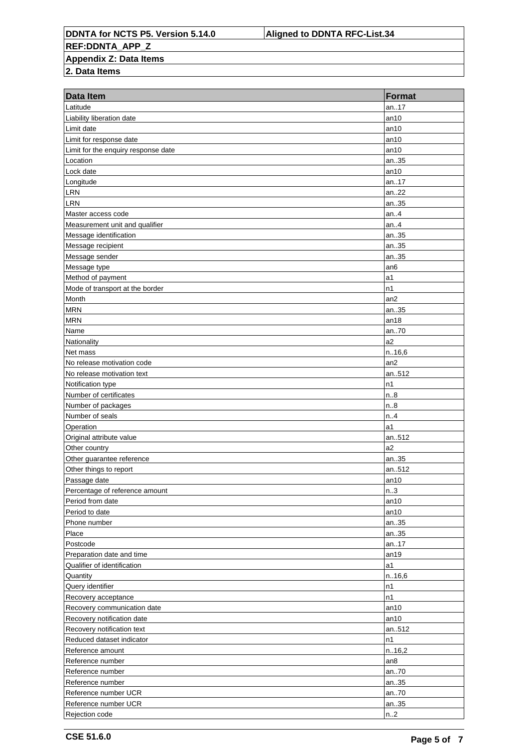**DDNTA for NCTS P5. Version 5.14.0 Aligned to DDNTA RFC-List.34 REF:DDNTA\_APP\_Z Appendix Z: Data Items**

| <b>Data Item</b>                    | <b>Format</b>    |
|-------------------------------------|------------------|
| Latitude                            | an17             |
| Liability liberation date           | an10             |
| Limit date                          | an10             |
| Limit for response date             | an10             |
| Limit for the enquiry response date | an10             |
| Location                            | an35             |
| Lock date                           | an10             |
| Longitude                           | an17             |
| LRN                                 | an22             |
| <b>LRN</b>                          | an35             |
| Master access code                  | an4              |
| Measurement unit and qualifier      | an. $.4$         |
| Message identification              | an35             |
| Message recipient                   | an35             |
| Message sender                      | an35             |
| Message type                        | an <sub>6</sub>  |
| Method of payment                   | a1               |
| Mode of transport at the border     | n1               |
| Month                               | an2              |
| <b>MRN</b>                          | an35             |
| <b>MRN</b>                          | an18             |
| Name                                | an70             |
| Nationality                         | a2               |
| Net mass                            | n.16,6           |
| No release motivation code          | an2              |
| No release motivation text          | an512            |
| Notification type                   | n1               |
| Number of certificates              | n.8              |
| Number of packages                  | n.8              |
| Number of seals                     | n.4              |
| Operation                           | a1               |
| Original attribute value            | an512            |
| Other country                       | a <sub>2</sub>   |
| Other guarantee reference           | an35             |
| Other things to report              | an512            |
| Passage date                        | an10             |
| Percentage of reference amount      | n.3              |
| Period from date                    | an10             |
| Period to date                      | an10             |
| Phone number                        | an35             |
| Place                               | an35             |
| Postcode                            | an17             |
| Preparation date and time           | an19             |
| Qualifier of identification         | a1               |
| Quantity                            | n. 16,6          |
| Query identifier                    | n1               |
| Recovery acceptance                 | n1               |
| Recovery communication date         | an10             |
| Recovery notification date          | an10             |
| Recovery notification text          | an512            |
| Reduced dataset indicator           | n1               |
| Reference amount                    | n.16,2           |
| Reference number                    | an8              |
| Reference number                    | an70             |
| Reference number                    | an35             |
| Reference number UCR                | an70             |
| Reference number UCR                | an35             |
| Rejection code                      | n <sub>1</sub> 2 |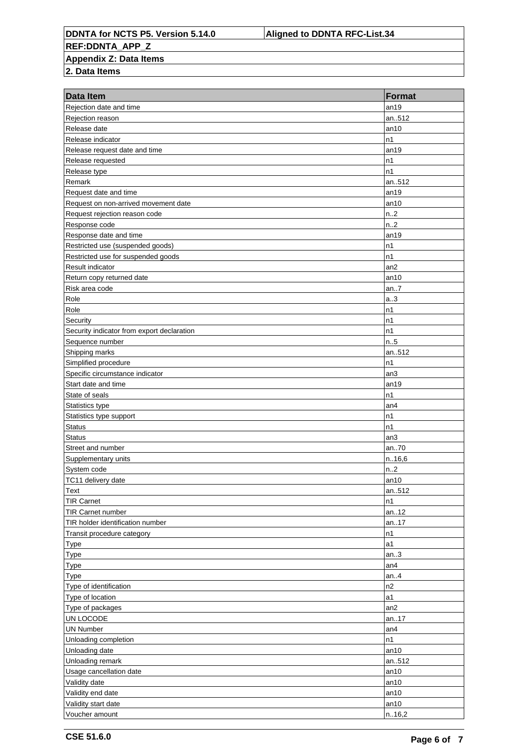**DDNTA for NCTS P5. Version 5.14.0 Aligned to DDNTA RFC-List.34 REF:DDNTA\_APP\_Z Appendix Z: Data Items**

| <b>Data Item</b>                           | <b>Format</b>    |
|--------------------------------------------|------------------|
| Rejection date and time                    | an19             |
| Rejection reason                           | an512            |
| Release date                               | an10             |
| Release indicator                          | n1               |
| Release request date and time              | an19             |
| Release requested                          | n1               |
| Release type                               | n1               |
| Remark                                     | an512            |
| Request date and time                      | an19             |
| Request on non-arrived movement date       | an10             |
| Request rejection reason code              | n <sub>1</sub> 2 |
| Response code                              | n.2              |
| Response date and time                     | an19             |
| Restricted use (suspended goods)           | n1               |
| Restricted use for suspended goods         | n1               |
| Result indicator                           | an2              |
| Return copy returned date                  | an10             |
| Risk area code                             | an7              |
| Role                                       | a.3              |
| Role                                       | n1               |
| Security                                   | n1               |
| Security indicator from export declaration | n1               |
| Sequence number                            | n.5              |
| Shipping marks                             | an512            |
| Simplified procedure                       | n1               |
| Specific circumstance indicator            | an3              |
| Start date and time                        | an19             |
| State of seals                             | n1               |
| Statistics type                            | an4              |
| Statistics type support                    | n1               |
| <b>Status</b>                              | n1               |
| <b>Status</b>                              | an3              |
| Street and number                          | an70             |
| Supplementary units                        | n.16,6           |
| System code                                | n.2              |
| TC11 delivery date                         | an10             |
|                                            |                  |
| Text<br><b>TIR Carnet</b>                  | an512            |
|                                            | n1               |
| <b>TIR Carnet number</b>                   | an12             |
| TIR holder identification number           | an17             |
| Transit procedure category                 | n1               |
| <b>Type</b>                                | a1               |
| <b>Type</b>                                | an $3$           |
| <b>Type</b>                                | an4              |
| <b>Type</b>                                | an4              |
| Type of identification                     | n2               |
| Type of location                           | a1               |
| Type of packages                           | an2              |
| UN LOCODE                                  | an17             |
| UN Number                                  | an4              |
| Unloading completion                       | n1               |
| Unloading date                             | an10             |
| Unloading remark                           | an512            |
| Usage cancellation date                    | an10             |
| Validity date                              | an10             |
| Validity end date                          | an10             |
| Validity start date                        | an10             |
| Voucher amount                             | n.16,2           |